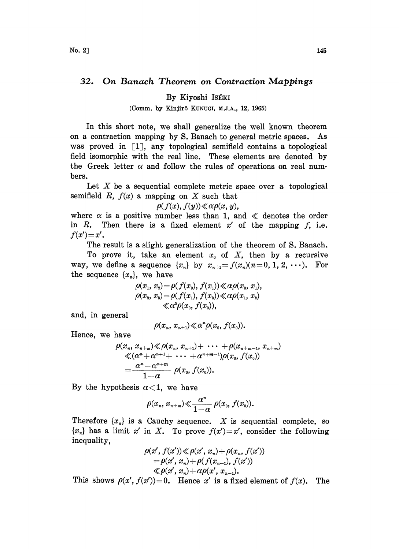## 32. On Banach Theorem on Contraction Mappings

## By Kiyoshi IsÉKI

## (Comm. by Kinjirô KUNUGI, M.J.A., 12, 1965)

In this short note, we shall generalize the well known theorem on a contraction mapping by S. Banach to general metric spaces. As was proved in  $\left[1\right]$ , any topological semifield contains a topological field isomorphic with the real line. These elements are denoted by the Greek letter  $\alpha$  and follow the rules of operations on real numhers.

Let X be a sequential complete metric space over a topological semifield  $R$ ,  $f(x)$  a mapping on  $X$  such that

$$
\rho(f(x),f(y))\ll \alpha \rho(x,y),
$$

where  $\alpha$  is a positive number less than 1, and  $\ll$  denotes the order in  $R$ . Then there is a fixed element  $x'$  of the mapping  $f$ , i.e.  $f(x') = x'.$ 

The result is a slight generalization of the theorem of S. Banach.

To prove it, take an element  $x_0$  of X, then by a recursive way, we define a sequence  $\{x_n\}$  by  $x_{n+1}=f(x_n)(n=0, 1, 2, \cdots)$ . For the sequence  $\{x_n\}$ , we have

$$
\rho(x_1, x_2) = \rho(f(x_0), f(x_1)) \ll \alpha \rho(x_0, x_1), \n\rho(x_2, x_3) = \rho(f(x_1), f(x_2)) \ll \alpha \rho(x_1, x_2) \n\ll \alpha^2 \rho(x_0, f(x_0)),
$$

and, in general

$$
\rho(x_n, x_{n+1}) \ll \alpha^n \rho(x_0, f(x_0)).
$$

Hence, we have

$$
\rho(x_n, x_{n+m}) \ll \rho(x_n, x_{n+1}) + \cdots + \rho(x_{n+m-1}, x_{n+m})
$$
  

$$
\ll (\alpha^n + \alpha^{n+1} + \cdots + \alpha^{n+m-1})\rho(x_0, f(x_0))
$$
  

$$
= \frac{\alpha^n - \alpha^{n+m}}{1 - \alpha} \rho(x_0, f(x_0)).
$$

By the hypothesis  $\alpha < 1$ , we have

$$
\rho(x_n, x_{n+m}) \ll \frac{\alpha^n}{1-\alpha} \rho(x_0, f(x_0)).
$$

Therefore  $\{x_n\}$  is a Cauchy sequence. X is sequential complete, so  ${x_n}$  has a limit x' in X. To prove  $f(x')=x'$ , consider the following inequality,

$$
\rho(x', f(x')) \ll \rho(x', x_n) + \rho(x_n, f(x'))
$$
  
=  $\rho(x', x_n) + \rho(f(x_{n-1}), f(x'))$   
 $\ll \rho(x', x_n) + \alpha \rho(x', x_{n-1}).$ 

This shows  $\rho(x', f(x'))=0$ . Hence x' is a fixed element of  $f(x)$ . The